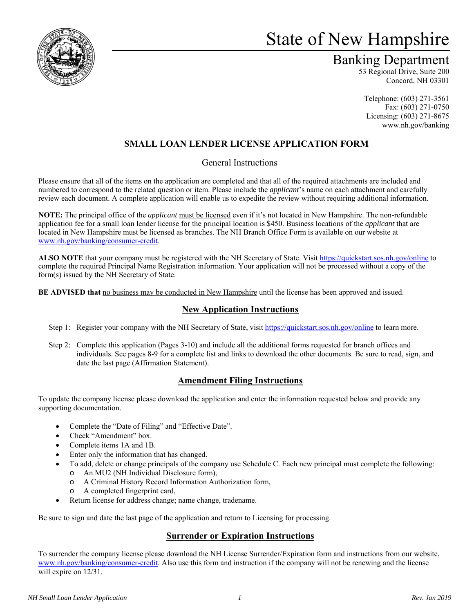

# State of New Hampshire

# Banking Department

53 Regional Drive, Suite 200 Concord, NH 03301

Telephone: (603) 271-3561 Fax: (603) 271-0750 Licensing: (603) 271-8675 www.nh.gov/banking

# **SMALL LOAN LENDER LICENSE APPLICATION FORM**

### General Instructions

Please ensure that all of the items on the application are completed and that all of the required attachments are included and numbered to correspond to the related question or item. Please include the *applicant*'s name on each attachment and carefully review each document. A complete application will enable us to expedite the review without requiring additional information.

**NOTE:** The principal office of the *applicant* must be licensed even if it's not located in New Hampshire. The non-refundable application fee for a small loan lender license for the principal location is \$450. Business locations of the *applicant* that are located in New Hampshire must be licensed as branches. The NH Branch Office Form is available on our website at www.nh.gov/banking/consumer-credit.

**ALSO NOTE** that your company must be registered with the NH Secretary of State. Visit https://quickstart.sos.nh.gov/online to complete the required Principal Name Registration information. Your application will not be processed without a copy of the form(s) issued by the NH Secretary of State.

**BE ADVISED that** no business may be conducted in New Hampshire until the license has been approved and issued.

## **New Application Instructions**

- Step 1: Register your company with the NH Secretary of State, visit https://quickstart.sos.nh.gov/online to learn more.
- Step 2: Complete this application (Pages 3-10) and include all the additional forms requested for branch offices and individuals. See pages 8-9 for a complete list and links to download the other documents. Be sure to read, sign, and date the last page (Affirmation Statement).

## **Amendment Filing Instructions**

To update the company license please download the application and enter the information requested below and provide any supporting documentation.

- Complete the "Date of Filing" and "Effective Date".
- Check "Amendment" box.
- Complete items 1A and 1B.
- Enter only the information that has changed.
- To add, delete or change principals of the company use Schedule C. Each new principal must complete the following:
	- o An MU2 (NH Individual Disclosure form),
	- o A Criminal History Record Information Authorization form,
	- o A completed fingerprint card,
- Return license for address change; name change, tradename.

Be sure to sign and date the last page of the application and return to Licensing for processing.

### **Surrender or Expiration Instructions**

To surrender the company license please download the NH License Surrender/Expiration form and instructions from our website, www.nh.gov/banking/consumer-credit. Also use this form and instruction if the company will not be renewing and the license will expire on 12/31.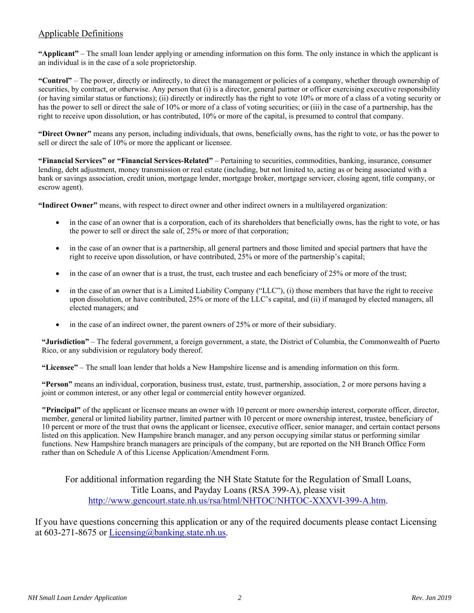### Applicable Definitions

**"Applicant"** – The small loan lender applying or amending information on this form. The only instance in which the applicant is an individual is in the case of a sole proprietorship.

**"Control"** – The power, directly or indirectly, to direct the management or policies of a company, whether through ownership of securities, by contract, or otherwise. Any person that (i) is a director, general partner or officer exercising executive responsibility (or having similar status or functions); (ii) directly or indirectly has the right to vote 10% or more of a class of a voting security or has the power to sell or direct the sale of 10% or more of a class of voting securities; or (iii) in the case of a partnership, has the right to receive upon dissolution, or has contributed, 10% or more of the capital, is presumed to control that company.

**"Direct Owner"** means any person, including individuals, that owns, beneficially owns, has the right to vote, or has the power to sell or direct the sale of 10% or more the applicant or licensee.

**"Financial Services" or "Financial Services-Related"** – Pertaining to securities, commodities, banking, insurance, consumer lending, debt adjustment, money transmission or real estate (including, but not limited to, acting as or being associated with a bank or savings association, credit union, mortgage lender, mortgage broker, mortgage servicer, closing agent, title company, or escrow agent).

**"Indirect Owner"** means, with respect to direct owner and other indirect owners in a multilayered organization:

- in the case of an owner that is a corporation, each of its shareholders that beneficially owns, has the right to vote, or has the power to sell or direct the sale of, 25% or more of that corporation;
- in the case of an owner that is a partnership, all general partners and those limited and special partners that have the right to receive upon dissolution, or have contributed, 25% or more of the partnership's capital;
- in the case of an owner that is a trust, the trust, each trustee and each beneficiary of 25% or more of the trust;
- in the case of an owner that is a Limited Liability Company ("LLC"), (i) those members that have the right to receive upon dissolution, or have contributed, 25% or more of the LLC's capital, and (ii) if managed by elected managers, all elected managers; and
- in the case of an indirect owner, the parent owners of 25% or more of their subsidiary.

**"Jurisdiction"** – The federal government, a foreign government, a state, the District of Columbia, the Commonwealth of Puerto Rico, or any subdivision or regulatory body thereof.

**"Licensee"** – The small loan lender that holds a New Hampshire license and is amending information on this form.

**"Person"** means an individual, corporation, business trust, estate, trust, partnership, association, 2 or more persons having a joint or common interest, or any other legal or commercial entity however organized.

**"Principal"** of the applicant or licensee means an owner with 10 percent or more ownership interest, corporate officer, director, member, general or limited liability partner, limited partner with 10 percent or more ownership interest, trustee, beneficiary of 10 percent or more of the trust that owns the applicant or licensee, executive officer, senior manager, and certain contact persons listed on this application. New Hampshire branch manager, and any person occupying similar status or performing similar functions. New Hampshire branch managers are principals of the company, but are reported on the NH Branch Office Form rather than on Schedule A of this License Application/Amendment Form.

For additional information regarding the NH State Statute for the Regulation of Small Loans, Title Loans, and Payday Loans (RSA 399-A), please visit http://www.gencourt.state.nh.us/rsa/html/NHTOC/NHTOC-XXXVI-399-A.htm.

If you have questions concerning this application or any of the required documents please contact Licensing at 603-271-8675 or Licensing@banking.state.nh.us.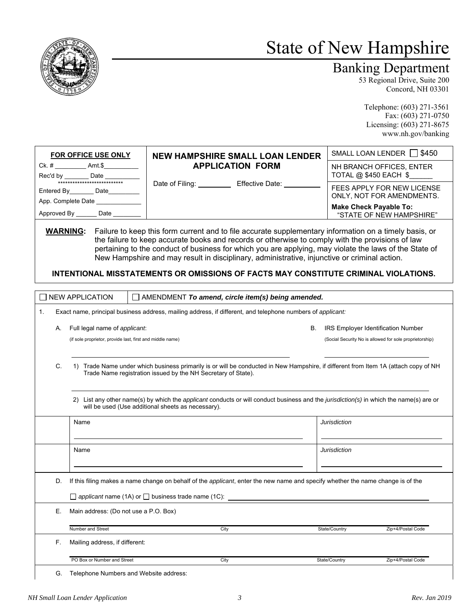

# State of New Hampshire

# Banking Department

53 Regional Drive, Suite 200 Concord, NH 03301

Telephone: (603) 271-3561 Fax: (603) 271-0750 Licensing: (603) 271-8675 www.nh.gov/banking

|                                                                                                                                       | FOR OFFICE USE ONLY                                                                                                                                                                                                                                                                                                                                                                                  | <b>NEW HAMPSHIRE SMALL LOAN LENDER</b>                                                                                                                                                                                                                                                                                                                                                                                                                                                                                      | SMALL LOAN LENDER     \$450                             |  |  |  |  |
|---------------------------------------------------------------------------------------------------------------------------------------|------------------------------------------------------------------------------------------------------------------------------------------------------------------------------------------------------------------------------------------------------------------------------------------------------------------------------------------------------------------------------------------------------|-----------------------------------------------------------------------------------------------------------------------------------------------------------------------------------------------------------------------------------------------------------------------------------------------------------------------------------------------------------------------------------------------------------------------------------------------------------------------------------------------------------------------------|---------------------------------------------------------|--|--|--|--|
|                                                                                                                                       | Ck. # _____________ Amt.\$____________                                                                                                                                                                                                                                                                                                                                                               | <b>APPLICATION FORM</b><br>Date of Filing: Effective Date: CHECTIVE OF FILING                                                                                                                                                                                                                                                                                                                                                                                                                                               | NH BRANCH OFFICES, ENTER                                |  |  |  |  |
|                                                                                                                                       | Rec'd by <u>Date</u> Date                                                                                                                                                                                                                                                                                                                                                                            |                                                                                                                                                                                                                                                                                                                                                                                                                                                                                                                             | TOTAL @ \$450 EACH \$                                   |  |  |  |  |
|                                                                                                                                       | Entered By________ Date_________                                                                                                                                                                                                                                                                                                                                                                     |                                                                                                                                                                                                                                                                                                                                                                                                                                                                                                                             | FEES APPLY FOR NEW LICENSE<br>ONLY, NOT FOR AMENDMENTS. |  |  |  |  |
|                                                                                                                                       | App. Complete Date ______________                                                                                                                                                                                                                                                                                                                                                                    |                                                                                                                                                                                                                                                                                                                                                                                                                                                                                                                             | <b>Make Check Payable To:</b>                           |  |  |  |  |
|                                                                                                                                       | Approved By ________ Date _________                                                                                                                                                                                                                                                                                                                                                                  |                                                                                                                                                                                                                                                                                                                                                                                                                                                                                                                             | "STATE OF NEW HAMPSHIRE"                                |  |  |  |  |
|                                                                                                                                       |                                                                                                                                                                                                                                                                                                                                                                                                      | <b>WARNING:</b> Failure to keep this form current and to file accurate supplementary information on a timely basis, or<br>the failure to keep accurate books and records or otherwise to comply with the provisions of law<br>pertaining to the conduct of business for which you are applying, may violate the laws of the State of<br>New Hampshire and may result in disciplinary, administrative, injunctive or criminal action.<br>INTENTIONAL MISSTATEMENTS OR OMISSIONS OF FACTS MAY CONSTITUTE CRIMINAL VIOLATIONS. |                                                         |  |  |  |  |
| <b>NEW APPLICATION</b>                                                                                                                |                                                                                                                                                                                                                                                                                                                                                                                                      | $\Box$ AMENDMENT To amend, circle item(s) being amended.                                                                                                                                                                                                                                                                                                                                                                                                                                                                    |                                                         |  |  |  |  |
| 1.                                                                                                                                    |                                                                                                                                                                                                                                                                                                                                                                                                      | Exact name, principal business address, mailing address, if different, and telephone numbers of applicant:                                                                                                                                                                                                                                                                                                                                                                                                                  |                                                         |  |  |  |  |
|                                                                                                                                       |                                                                                                                                                                                                                                                                                                                                                                                                      |                                                                                                                                                                                                                                                                                                                                                                                                                                                                                                                             |                                                         |  |  |  |  |
| А.                                                                                                                                    | Full legal name of applicant.                                                                                                                                                                                                                                                                                                                                                                        | В.                                                                                                                                                                                                                                                                                                                                                                                                                                                                                                                          | <b>IRS Employer Identification Number</b>               |  |  |  |  |
|                                                                                                                                       | (if sole proprietor, provide last, first and middle name)                                                                                                                                                                                                                                                                                                                                            |                                                                                                                                                                                                                                                                                                                                                                                                                                                                                                                             | (Social Security No is allowed for sole proprietorship) |  |  |  |  |
| C.                                                                                                                                    | 1) Trade Name under which business primarily is or will be conducted in New Hampshire, if different from Item 1A (attach copy of NH<br>Trade Name registration issued by the NH Secretary of State).<br>2) List any other name(s) by which the applicant conducts or will conduct business and the jurisdiction(s) in which the name(s) are or<br>will be used (Use additional sheets as necessary). |                                                                                                                                                                                                                                                                                                                                                                                                                                                                                                                             |                                                         |  |  |  |  |
| Name                                                                                                                                  |                                                                                                                                                                                                                                                                                                                                                                                                      |                                                                                                                                                                                                                                                                                                                                                                                                                                                                                                                             | <b>Jurisdiction</b>                                     |  |  |  |  |
|                                                                                                                                       |                                                                                                                                                                                                                                                                                                                                                                                                      |                                                                                                                                                                                                                                                                                                                                                                                                                                                                                                                             |                                                         |  |  |  |  |
| Name                                                                                                                                  |                                                                                                                                                                                                                                                                                                                                                                                                      |                                                                                                                                                                                                                                                                                                                                                                                                                                                                                                                             | <b>Jurisdiction</b>                                     |  |  |  |  |
| If this filing makes a name change on behalf of the applicant, enter the new name and specify whether the name change is of the<br>D. |                                                                                                                                                                                                                                                                                                                                                                                                      |                                                                                                                                                                                                                                                                                                                                                                                                                                                                                                                             |                                                         |  |  |  |  |
| $\Box$ applicant name (1A) or $\Box$ business trade name (1C):                                                                        |                                                                                                                                                                                                                                                                                                                                                                                                      |                                                                                                                                                                                                                                                                                                                                                                                                                                                                                                                             |                                                         |  |  |  |  |
| Е.                                                                                                                                    | Main address: (Do not use a P.O. Box)                                                                                                                                                                                                                                                                                                                                                                |                                                                                                                                                                                                                                                                                                                                                                                                                                                                                                                             |                                                         |  |  |  |  |
|                                                                                                                                       | Number and Street                                                                                                                                                                                                                                                                                                                                                                                    | City                                                                                                                                                                                                                                                                                                                                                                                                                                                                                                                        | State/Country<br>Zip+4/Postal Code                      |  |  |  |  |
| F.                                                                                                                                    | Mailing address, if different:                                                                                                                                                                                                                                                                                                                                                                       |                                                                                                                                                                                                                                                                                                                                                                                                                                                                                                                             |                                                         |  |  |  |  |
|                                                                                                                                       | PO Box or Number and Street                                                                                                                                                                                                                                                                                                                                                                          | City                                                                                                                                                                                                                                                                                                                                                                                                                                                                                                                        | State/Country<br>Zip+4/Postal Code                      |  |  |  |  |
| G.                                                                                                                                    | Telephone Numbers and Website address:                                                                                                                                                                                                                                                                                                                                                               |                                                                                                                                                                                                                                                                                                                                                                                                                                                                                                                             |                                                         |  |  |  |  |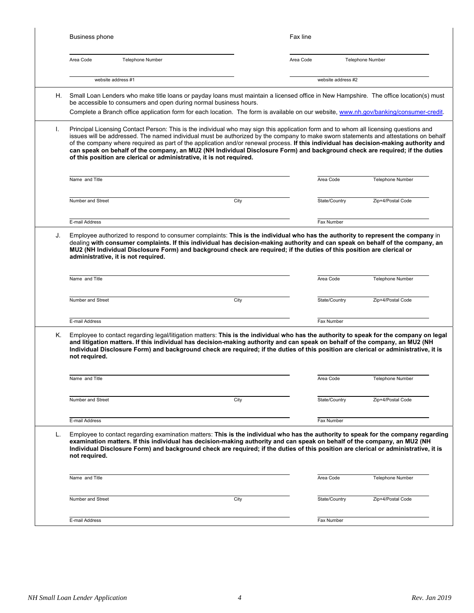|    | Business phone                                                                                                                                                                                                                                                                                                                                                                                                                                                                                                                                                                                                                |      | Fax line           |                         |  |  |
|----|-------------------------------------------------------------------------------------------------------------------------------------------------------------------------------------------------------------------------------------------------------------------------------------------------------------------------------------------------------------------------------------------------------------------------------------------------------------------------------------------------------------------------------------------------------------------------------------------------------------------------------|------|--------------------|-------------------------|--|--|
|    | Area Code<br><b>Telephone Number</b>                                                                                                                                                                                                                                                                                                                                                                                                                                                                                                                                                                                          |      | Area Code          | <b>Telephone Number</b> |  |  |
|    | website address #1                                                                                                                                                                                                                                                                                                                                                                                                                                                                                                                                                                                                            |      | website address #2 |                         |  |  |
| Η. | Small Loan Lenders who make title loans or payday loans must maintain a licensed office in New Hampshire. The office location(s) must<br>be accessible to consumers and open during normal business hours.<br>Complete a Branch office application form for each location. The form is available on our website, www.nh.gov/banking/consumer-credit.                                                                                                                                                                                                                                                                          |      |                    |                         |  |  |
| I. | Principal Licensing Contact Person: This is the individual who may sign this application form and to whom all licensing questions and<br>issues will be addressed. The named individual must be authorized by the company to make sworn statements and attestations on behalf<br>of the company where required as part of the application and/or renewal process. If this individual has decision-making authority and<br>can speak on behalf of the company, an MU2 (NH Individual Disclosure Form) and background check are required; if the duties<br>of this position are clerical or administrative, it is not required. |      |                    |                         |  |  |
|    | Name and Title                                                                                                                                                                                                                                                                                                                                                                                                                                                                                                                                                                                                                |      | Area Code          | Telephone Number        |  |  |
|    | Number and Street                                                                                                                                                                                                                                                                                                                                                                                                                                                                                                                                                                                                             | City | State/Country      | Zip+4/Postal Code       |  |  |
|    | E-mail Address                                                                                                                                                                                                                                                                                                                                                                                                                                                                                                                                                                                                                |      | Fax Number         |                         |  |  |
|    | administrative, it is not required.<br>Name and Title                                                                                                                                                                                                                                                                                                                                                                                                                                                                                                                                                                         |      | Area Code          | Telephone Number        |  |  |
|    | Number and Street                                                                                                                                                                                                                                                                                                                                                                                                                                                                                                                                                                                                             | City | State/Country      | Zip+4/Postal Code       |  |  |
|    |                                                                                                                                                                                                                                                                                                                                                                                                                                                                                                                                                                                                                               |      |                    |                         |  |  |
|    | E-mail Address                                                                                                                                                                                                                                                                                                                                                                                                                                                                                                                                                                                                                |      | Fax Number         |                         |  |  |
| Κ. | Employee to contact regarding legal/litigation matters: This is the individual who has the authority to speak for the company on legal<br>and litigation matters. If this individual has decision-making authority and can speak on behalf of the company, an MU2 (NH<br>Individual Disclosure Form) and background check are required; if the duties of this position are clerical or administrative, it is<br>not required.                                                                                                                                                                                                 |      |                    |                         |  |  |
|    | Name and Title                                                                                                                                                                                                                                                                                                                                                                                                                                                                                                                                                                                                                |      | Area Code          | <b>Telephone Number</b> |  |  |
|    | Number and Street                                                                                                                                                                                                                                                                                                                                                                                                                                                                                                                                                                                                             | City | State/Country      | Zip+4/Postal Code       |  |  |
|    | E-mail Address                                                                                                                                                                                                                                                                                                                                                                                                                                                                                                                                                                                                                |      | Fax Number         |                         |  |  |
| L. | Employee to contact regarding examination matters: This is the individual who has the authority to speak for the company regarding<br>examination matters. If this individual has decision-making authority and can speak on behalf of the company, an MU2 (NH<br>Individual Disclosure Form) and background check are required; if the duties of this position are clerical or administrative, it is<br>not required.                                                                                                                                                                                                        |      |                    |                         |  |  |
|    | Name and Title                                                                                                                                                                                                                                                                                                                                                                                                                                                                                                                                                                                                                |      | Area Code          | Telephone Number        |  |  |
|    | Number and Street                                                                                                                                                                                                                                                                                                                                                                                                                                                                                                                                                                                                             | City | State/Country      | Zip+4/Postal Code       |  |  |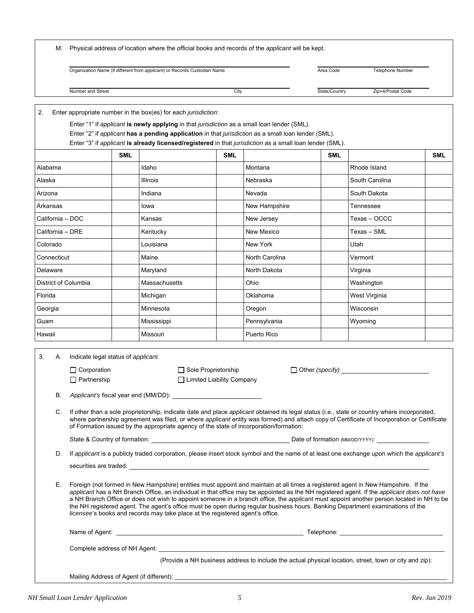|          |             |                                                                                                                                                                                                                                                                                                                                                                                                                                                                                                                                                                                                                                                |            | Organization Name (if different from applicant) or Records Custodian Name                                                                                                                                                                                                                                                                                                        |                                                    |                | Area Code                                                               | Telephone Number  |            |
|----------|-------------|------------------------------------------------------------------------------------------------------------------------------------------------------------------------------------------------------------------------------------------------------------------------------------------------------------------------------------------------------------------------------------------------------------------------------------------------------------------------------------------------------------------------------------------------------------------------------------------------------------------------------------------------|------------|----------------------------------------------------------------------------------------------------------------------------------------------------------------------------------------------------------------------------------------------------------------------------------------------------------------------------------------------------------------------------------|----------------------------------------------------|----------------|-------------------------------------------------------------------------|-------------------|------------|
|          |             | Number and Street                                                                                                                                                                                                                                                                                                                                                                                                                                                                                                                                                                                                                              |            |                                                                                                                                                                                                                                                                                                                                                                                  | City                                               |                | State/Country                                                           | Zip+4/Postal Code |            |
|          |             |                                                                                                                                                                                                                                                                                                                                                                                                                                                                                                                                                                                                                                                |            |                                                                                                                                                                                                                                                                                                                                                                                  |                                                    |                |                                                                         |                   |            |
| 2.       |             |                                                                                                                                                                                                                                                                                                                                                                                                                                                                                                                                                                                                                                                |            | Enter appropriate number in the box(es) for each jurisdiction:<br>Enter "1" if applicant is newly applying in that jurisdiction as a small loan lender (SML).<br>Enter "2" if applicant has a pending application in that jurisdiction as a small loan lender (SML).<br>Enter "3" if applicant is already licensed/registered in that jurisdiction as a small loan lender (SML). |                                                    |                |                                                                         |                   |            |
|          |             |                                                                                                                                                                                                                                                                                                                                                                                                                                                                                                                                                                                                                                                | <b>SML</b> |                                                                                                                                                                                                                                                                                                                                                                                  | <b>SML</b>                                         |                | <b>SML</b>                                                              |                   | <b>SML</b> |
| Alabama  |             |                                                                                                                                                                                                                                                                                                                                                                                                                                                                                                                                                                                                                                                |            | Idaho                                                                                                                                                                                                                                                                                                                                                                            |                                                    | Montana        |                                                                         | Rhode Island      |            |
| Alaska   |             |                                                                                                                                                                                                                                                                                                                                                                                                                                                                                                                                                                                                                                                |            | Illinois                                                                                                                                                                                                                                                                                                                                                                         |                                                    | Nebraska       |                                                                         | South Carolina    |            |
| Arizona  |             |                                                                                                                                                                                                                                                                                                                                                                                                                                                                                                                                                                                                                                                |            | Indiana                                                                                                                                                                                                                                                                                                                                                                          |                                                    | Nevada         |                                                                         | South Dakota      |            |
|          | Arkansas    |                                                                                                                                                                                                                                                                                                                                                                                                                                                                                                                                                                                                                                                |            | lowa                                                                                                                                                                                                                                                                                                                                                                             |                                                    | New Hampshire  |                                                                         | Tennessee         |            |
|          |             | California - DOC                                                                                                                                                                                                                                                                                                                                                                                                                                                                                                                                                                                                                               |            | Kansas                                                                                                                                                                                                                                                                                                                                                                           |                                                    | New Jersey     |                                                                         | Texas - OCCC      |            |
|          |             | California – DRE                                                                                                                                                                                                                                                                                                                                                                                                                                                                                                                                                                                                                               |            | Kentucky                                                                                                                                                                                                                                                                                                                                                                         |                                                    | New Mexico     |                                                                         | Texas - SML       |            |
| Colorado |             |                                                                                                                                                                                                                                                                                                                                                                                                                                                                                                                                                                                                                                                |            | Louisiana                                                                                                                                                                                                                                                                                                                                                                        |                                                    | New York       |                                                                         | Utah              |            |
|          | Connecticut |                                                                                                                                                                                                                                                                                                                                                                                                                                                                                                                                                                                                                                                |            | Maine                                                                                                                                                                                                                                                                                                                                                                            |                                                    | North Carolina |                                                                         | Vermont           |            |
|          | Delaware    |                                                                                                                                                                                                                                                                                                                                                                                                                                                                                                                                                                                                                                                |            | Maryland                                                                                                                                                                                                                                                                                                                                                                         |                                                    | North Dakota   |                                                                         | Virginia          |            |
|          |             | District of Columbia                                                                                                                                                                                                                                                                                                                                                                                                                                                                                                                                                                                                                           |            | Massachusetts                                                                                                                                                                                                                                                                                                                                                                    |                                                    | Ohio           |                                                                         | Washington        |            |
| Florida  |             |                                                                                                                                                                                                                                                                                                                                                                                                                                                                                                                                                                                                                                                |            | Michigan                                                                                                                                                                                                                                                                                                                                                                         |                                                    | Oklahoma       |                                                                         | West Virginia     |            |
| Georgia  |             |                                                                                                                                                                                                                                                                                                                                                                                                                                                                                                                                                                                                                                                |            | Minnesota                                                                                                                                                                                                                                                                                                                                                                        |                                                    | Oregon         |                                                                         | Wisconsin         |            |
| Guam     |             |                                                                                                                                                                                                                                                                                                                                                                                                                                                                                                                                                                                                                                                |            | Mississippi                                                                                                                                                                                                                                                                                                                                                                      |                                                    | Pennsylvania   |                                                                         | Wyoming           |            |
| Hawaii   |             |                                                                                                                                                                                                                                                                                                                                                                                                                                                                                                                                                                                                                                                |            | Missouri                                                                                                                                                                                                                                                                                                                                                                         |                                                    | Puerto Rico    |                                                                         |                   |            |
|          |             |                                                                                                                                                                                                                                                                                                                                                                                                                                                                                                                                                                                                                                                |            |                                                                                                                                                                                                                                                                                                                                                                                  |                                                    |                |                                                                         |                   |            |
| 3.       | А.          | Indicate legal status of applicant.<br>$\Box$ Corporation<br>$\Box$ Partnership                                                                                                                                                                                                                                                                                                                                                                                                                                                                                                                                                                |            |                                                                                                                                                                                                                                                                                                                                                                                  | Sole Proprietorship<br>□ Limited Liability Company |                | $\Box$ Other (specify) $\_\_\_\_\_\_\_\_\_\_\_\_\_\_\_\_\_\_\_\_\_\_\_$ |                   |            |
|          | В.          | Applicant's fiscal year end (MM/DD):                                                                                                                                                                                                                                                                                                                                                                                                                                                                                                                                                                                                           |            |                                                                                                                                                                                                                                                                                                                                                                                  |                                                    |                |                                                                         |                   |            |
|          | C.          | If other than a sole proprietorship, indicate date and place applicant obtained its legal status (i.e., state or country where incorporated,<br>where partnership agreement was filed, or where applicant entity was formed) and attach copy of Certificate of Incorporation or Certificate<br>of Formation issued by the appropriate agency of the state of incorporation/formation:                                                                                                                                                                                                                                                          |            |                                                                                                                                                                                                                                                                                                                                                                                  |                                                    |                |                                                                         |                   |            |
|          |             |                                                                                                                                                                                                                                                                                                                                                                                                                                                                                                                                                                                                                                                |            |                                                                                                                                                                                                                                                                                                                                                                                  |                                                    |                |                                                                         |                   |            |
|          | D.          | If applicant is a publicly traded corporation, please insert stock symbol and the name of at least one exchange upon which the applicant's                                                                                                                                                                                                                                                                                                                                                                                                                                                                                                     |            |                                                                                                                                                                                                                                                                                                                                                                                  |                                                    |                |                                                                         |                   |            |
|          |             |                                                                                                                                                                                                                                                                                                                                                                                                                                                                                                                                                                                                                                                |            |                                                                                                                                                                                                                                                                                                                                                                                  |                                                    |                |                                                                         |                   |            |
|          | Е.          | Foreign (not formed in New Hampshire) entities must appoint and maintain at all times a registered agent in New Hampshire. If the<br>applicant has a NH Branch Office, an individual in that office may be appointed as the NH registered agent. If the applicant does not have<br>a NH Branch Office or does not wish to appoint someone in a branch office, the applicant must appoint another person located in NH to be<br>the NH registered agent. The agent's office must be open during regular business hours. Banking Department examinations of the<br>licensee's books and records may take place at the registered agent's office. |            |                                                                                                                                                                                                                                                                                                                                                                                  |                                                    |                |                                                                         |                   |            |
|          |             |                                                                                                                                                                                                                                                                                                                                                                                                                                                                                                                                                                                                                                                |            |                                                                                                                                                                                                                                                                                                                                                                                  |                                                    |                |                                                                         |                   |            |
|          |             |                                                                                                                                                                                                                                                                                                                                                                                                                                                                                                                                                                                                                                                |            |                                                                                                                                                                                                                                                                                                                                                                                  |                                                    |                |                                                                         |                   |            |

M. Physical address of location where the official books and records of the *applicant* will be kept.

Mailing Address of Agent (if different):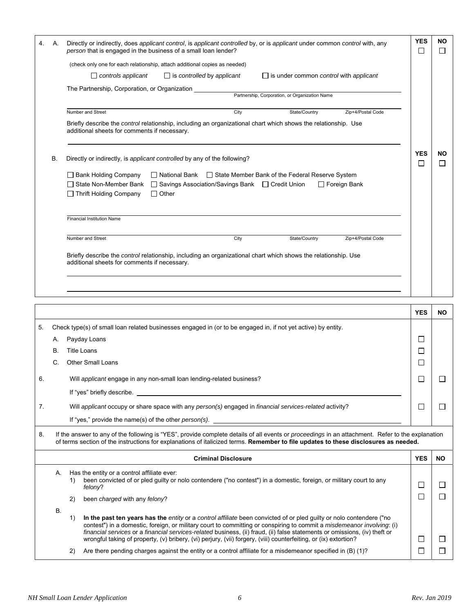|    |    | Criminal Disclosure                                                                                                                                                                                                                                                                     | YES I           | חו                          |
|----|----|-----------------------------------------------------------------------------------------------------------------------------------------------------------------------------------------------------------------------------------------------------------------------------------------|-----------------|-----------------------------|
| 8. |    | If the answer to any of the following is "YES", provide complete details of all events or proceedings in an attachment. Refer to the explanation<br>of terms section of the instructions for explanations of italicized terms. Remember to file updates to these disclosures as needed. |                 |                             |
|    |    | If "yes," provide the name(s) of the other <i>person(s)</i> .                                                                                                                                                                                                                           |                 |                             |
| 7. |    | Will applicant occupy or share space with any person(s) engaged in financial services-related activity?                                                                                                                                                                                 | $\Box$          | $\Box$                      |
|    |    | If "yes" briefly describe.                                                                                                                                                                                                                                                              |                 |                             |
| 6. |    | Will applicant engage in any non-small loan lending-related business?                                                                                                                                                                                                                   |                 |                             |
|    | C. | <b>Other Small Loans</b>                                                                                                                                                                                                                                                                | П               |                             |
| В. |    | <b>Title Loans</b>                                                                                                                                                                                                                                                                      | $\mathsf{L}$    |                             |
|    | А. | Payday Loans                                                                                                                                                                                                                                                                            | □               |                             |
| 5. |    | Check type(s) of small loan related businesses engaged in (or to be engaged in, if not yet active) by entity.                                                                                                                                                                           |                 |                             |
|    |    |                                                                                                                                                                                                                                                                                         | <b>YES</b>      | <b>NO</b>                   |
|    |    |                                                                                                                                                                                                                                                                                         |                 |                             |
|    |    |                                                                                                                                                                                                                                                                                         |                 |                             |
|    |    | Briefly describe the <i>control</i> relationship, including an organizational chart which shows the relationship. Use<br>additional sheets for comments if necessary.                                                                                                                   |                 |                             |
|    |    | Number and Street<br>City<br>State/Country<br>Zip+4/Postal Code                                                                                                                                                                                                                         |                 |                             |
|    |    | <b>Financial Institution Name</b>                                                                                                                                                                                                                                                       |                 |                             |
|    |    | □ State Non-Member Bank<br>□ Savings Association/Savings Bank □ Credit Union<br>$\Box$ Foreign Bank<br>□ Thrift Holding Company<br>$\Box$ Other                                                                                                                                         |                 |                             |
|    |    | □ Bank Holding Company<br>□ National Bank □ State Member Bank of the Federal Reserve System                                                                                                                                                                                             |                 |                             |
| В. |    | Directly or indirectly, is applicant controlled by any of the following?                                                                                                                                                                                                                | <b>YES</b><br>□ | <b>NO</b><br>$\mathbb{R}^n$ |
|    |    | Briefly describe the <i>control</i> relationship, including an organizational chart which shows the relationship. Use<br>additional sheets for comments if necessary.                                                                                                                   |                 |                             |
|    |    | Number and Street<br>Zip+4/Postal Code<br>City<br>State/Country                                                                                                                                                                                                                         |                 |                             |
|    |    | Partnership, Corporation, or Organization Name                                                                                                                                                                                                                                          |                 |                             |
|    |    | The Partnership, Corporation, or Organization                                                                                                                                                                                                                                           |                 |                             |
|    |    | $\Box$ controls applicant<br>$\Box$ is controlled by applicant<br>$\Box$ is under common <i>control</i> with <i>applicant</i>                                                                                                                                                           |                 |                             |
|    |    | (check only one for each relationship, attach additional copies as needed)                                                                                                                                                                                                              |                 |                             |
| 4. | А. | Directly or indirectly, does applicant control, is applicant controlled by, or is applicant under common control with, any<br>person that is engaged in the business of a small loan lender?                                                                                            | <b>YES</b><br>□ | ΝO<br>$\Box$                |

| <b>Criminal Disclosure</b> |    |                                                                                                                                                                                                                                                                                                                                                                                                                                                                                                                        |  |  |
|----------------------------|----|------------------------------------------------------------------------------------------------------------------------------------------------------------------------------------------------------------------------------------------------------------------------------------------------------------------------------------------------------------------------------------------------------------------------------------------------------------------------------------------------------------------------|--|--|
| А.                         | 1) | Has the entity or a control affiliate ever:<br>been convicted of or pled guilty or nolo contendere ("no contest") in a domestic, foreign, or military court to any<br>felony?                                                                                                                                                                                                                                                                                                                                          |  |  |
|                            | 2) | been <i>charged</i> with any <i>felony</i> ?                                                                                                                                                                                                                                                                                                                                                                                                                                                                           |  |  |
| В.                         | 1) | In the past ten years has the <i>entity</i> or a <i>control affiliate</i> been convicted of or pled guilty or nolo contendere ("no<br>contest") in a domestic, foreign, or military court to committing or conspiring to commit a <i>misdemeanor involving</i> : (i)<br>financial services or a financial services-related business, (ii) fraud, (ii) false statements or omissions, (iv) theft or<br>wrongful taking of property, (v) bribery, (vi) perjury, (vii) forgery, (viii) counterfeiting, or (ix) extortion? |  |  |
|                            | 2) | Are there pending charges against the entity or a control affiliate for a misdemeanor specified in $(B)$ (1)?                                                                                                                                                                                                                                                                                                                                                                                                          |  |  |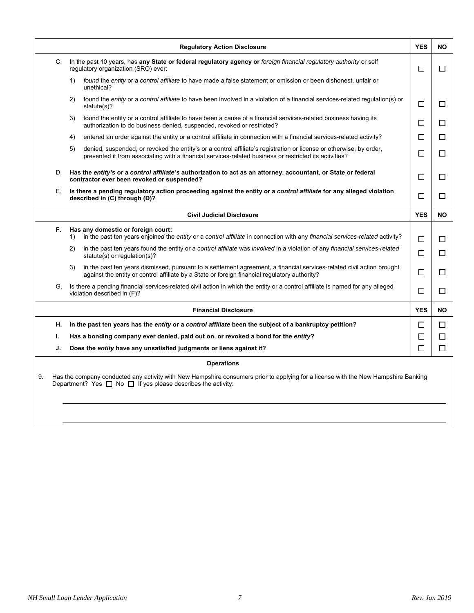|    | <b>Regulatory Action Disclosure</b>                                                                                                                                                                                                 | <b>YES</b>   | <b>NO</b> |
|----|-------------------------------------------------------------------------------------------------------------------------------------------------------------------------------------------------------------------------------------|--------------|-----------|
|    | In the past 10 years, has any State or federal regulatory agency or foreign financial regulatory authority or self<br>C.<br>regulatory organization (SRO) ever:                                                                     |              | $\Box$    |
|    | found the entity or a control affiliate to have made a false statement or omission or been dishonest, unfair or<br>1)<br>unethical?                                                                                                 |              |           |
|    | found the entity or a control affiliate to have been involved in a violation of a financial services-related regulation(s) or<br>2)<br>statute $(s)$ ?                                                                              | П            | $\Box$    |
|    | found the entity or a control affiliate to have been a cause of a financial services-related business having its<br>3)<br>authorization to do business denied, suspended, revoked or restricted?                                    | $\Box$       | $\Box$    |
|    | entered an order against the entity or a control affiliate in connection with a financial services-related activity?<br>4)                                                                                                          | П            | $\Box$    |
|    | denied, suspended, or revoked the entity's or a control affiliate's registration or license or otherwise, by order,<br>5)<br>prevented it from associating with a financial services-related business or restricted its activities? | П            | $\Box$    |
| D. | Has the entity's or a control affiliate's authorization to act as an attorney, accountant, or State or federal<br>contractor ever been revoked or suspended?                                                                        | $\mathsf{L}$ | $\perp$   |
| Е. | Is there a pending regulatory action proceeding against the entity or a control affiliate for any alleged violation<br>described in (C) through (D)?                                                                                | П            | П         |
|    | <b>Civil Judicial Disclosure</b>                                                                                                                                                                                                    | <b>YES</b>   | <b>NO</b> |
| F. | Has any domestic or foreign court:<br>in the past ten years enjoined the entity or a control affiliate in connection with any financial services-related activity?<br>1)                                                            | П            | $\Box$    |
|    | in the past ten years found the entity or a control affiliate was involved in a violation of any financial services-related<br>2)<br>statute(s) or regulation(s)?                                                                   | П            | □         |
|    | in the past ten years dismissed, pursuant to a settlement agreement, a financial services-related civil action brought<br>3)<br>against the entity or control affiliate by a State or foreign financial regulatory authority?       | □            | $\Box$    |
| G. | Is there a pending financial services-related civil action in which the entity or a control affiliate is named for any alleged<br>violation described in (F)?                                                                       | П            | $\Box$    |
|    | <b>Financial Disclosure</b>                                                                                                                                                                                                         | <b>YES</b>   | <b>NO</b> |
| Н. | In the past ten years has the entity or a control affiliate been the subject of a bankruptcy petition?                                                                                                                              | ΙI           | □         |
| ı. | Has a bonding company ever denied, paid out on, or revoked a bond for the entity?                                                                                                                                                   | $\Box$       | $\Box$    |
| J. | Does the entity have any unsatisfied judgments or liens against it?                                                                                                                                                                 | □            | $\Box$    |
|    | <b>Operations</b>                                                                                                                                                                                                                   |              |           |
|    | Has the company conducted any activity with New Hampshire consumers prior to applying for a license with the New Hampshire Banking<br>Department? Yes $\Box$ No $\Box$ If yes please describes the activity:                        |              |           |
|    |                                                                                                                                                                                                                                     |              |           |
|    |                                                                                                                                                                                                                                     |              |           |
|    |                                                                                                                                                                                                                                     |              |           |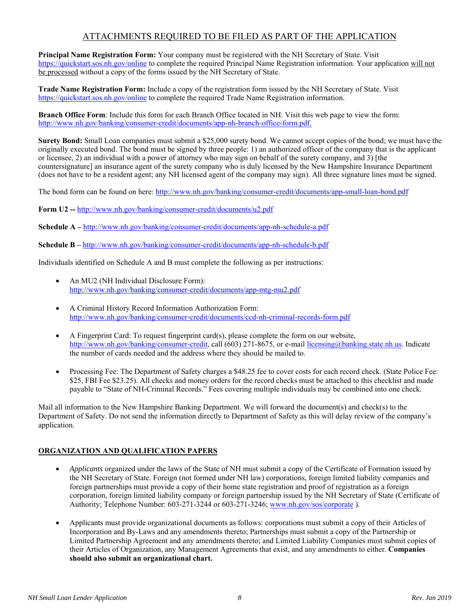# ATTACHMENTS REQUIRED TO BE FILED AS PART OF THE APPLICATION

**Principal Name Registration Form:** Your company must be registered with the NH Secretary of State. Visit https://quickstart.sos.nh.gov/online to complete the required Principal Name Registration information. Your application will not be processed without a copy of the forms issued by the NH Secretary of State.

**Trade Name Registration Form:** Include a copy of the registration form issued by the NH Secretary of State. Visit https://quickstart.sos.nh.gov/online to complete the required Trade Name Registration information.

**Branch Office Form**: Include this form for each Branch Office located in NH. Visit this web page to view the form: http://www.nh.gov/banking/consumer-credit/documents/app-nh-branch-office-form.pdf.

**Surety Bond:** Small Loan companies must submit a \$25,000 surety bond. We cannot accept copies of the bond; we must have the originally executed bond. The bond must be signed by three people: 1) an authorized officer of the company that is the applicant or licensee, 2) an individual with a power of attorney who may sign on behalf of the surety company, and 3) [the countersignature] an insurance agent of the surety company who is duly licensed by the New Hampshire Insurance Department (does not have to be a resident agent; any NH licensed agent of the company may sign). All three signature lines must be signed.

The bond form can be found on here: http://www.nh.gov/banking/consumer-credit/documents/app-small-loan-bond.pdf

**Form U2 --** http://www.nh.gov/banking/consumer-credit/documents/u2.pdf

**Schedule A –** http://www.nh.gov/banking/consumer-credit/documents/app-nh-schedule-a.pdf

**Schedule B –** http://www.nh.gov/banking/consumer-credit/documents/app-nh-schedule-b.pdf

Individuals identified on Schedule A and B must complete the following as per instructions:

- An MU2 (NH Individual Disclosure Form): http://www.nh.gov/banking/consumer-credit/documents/app-mtg-mu2.pdf
- A Criminal History Record Information Authorization Form: http://www.nh.gov/banking/consumer-credit/documents/ccd-nh-criminal-records-form.pdf
- A Fingerprint Card: To request fingerprint card(s), please complete the form on our website, http://www.nh.gov/banking/consumer-credit, call (603) 271-8675, or e-mail licensing@banking.state.nh.us. Indicate the number of cards needed and the address where they should be mailed to.
- Processing Fee: The Department of Safety charges a \$48.25 fee to cover costs for each record check. (State Police Fee: \$25, FBI Fee \$23.25). All checks and money orders for the record checks must be attached to this checklist and made payable to "State of NH-Criminal Records." Fees covering multiple individuals may be combined into one check.

Mail all information to the New Hampshire Banking Department. We will forward the document(s) and check(s) to the Department of Safety. Do not send the information directly to Department of Safety as this will delay review of the company's application.

### **ORGANIZATION AND QUALIFICATION PAPERS**

- *Applicants* organized under the laws of the State of NH must submit a copy of the Certificate of Formation issued by the NH Secretary of State. Foreign (not formed under NH law) corporations, foreign limited liability companies and foreign partnerships must provide a copy of their home state registration and proof of registration as a foreign corporation, foreign limited liability company or foreign partnership issued by the NH Secretary of State (Certificate of Authority; Telephone Number: 603-271-3244 or 603-271-3246; www.nh.gov/sos/corporate ).
- Applicants must provide organizational documents as follows: corporations must submit a copy of their Articles of Incorporation and By-Laws and any amendments thereto; Partnerships must submit a copy of the Partnership or Limited Partnership Agreement and any amendments thereto; and Limited Liability Companies must submit copies of their Articles of Organization, any Management Agreements that exist, and any amendments to either. **Companies should also submit an organizational chart.**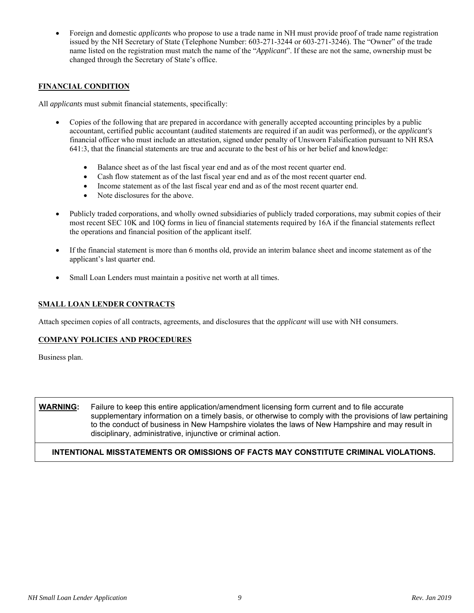Foreign and domestic *applicant*s who propose to use a trade name in NH must provide proof of trade name registration issued by the NH Secretary of State (Telephone Number: 603-271-3244 or 603-271-3246). The "Owner" of the trade name listed on the registration must match the name of the "*Applicant*". If these are not the same, ownership must be changed through the Secretary of State's office.

### **FINANCIAL CONDITION**

All *applicants* must submit financial statements, specifically:

- Copies of the following that are prepared in accordance with generally accepted accounting principles by a public accountant, certified public accountant (audited statements are required if an audit was performed), or the *applicant's* financial officer who must include an attestation, signed under penalty of Unsworn Falsification pursuant to NH RSA 641:3, that the financial statements are true and accurate to the best of his or her belief and knowledge:
	- Balance sheet as of the last fiscal year end and as of the most recent quarter end.
	- Cash flow statement as of the last fiscal year end and as of the most recent quarter end.
	- Income statement as of the last fiscal year end and as of the most recent quarter end.
	- Note disclosures for the above.
- Publicly traded corporations, and wholly owned subsidiaries of publicly traded corporations, may submit copies of their most recent SEC 10K and 10Q forms in lieu of financial statements required by 16A if the financial statements reflect the operations and financial position of the applicant itself.
- If the financial statement is more than 6 months old, provide an interim balance sheet and income statement as of the applicant's last quarter end.
- Small Loan Lenders must maintain a positive net worth at all times.

### **SMALL LOAN LENDER CONTRACTS**

Attach specimen copies of all contracts, agreements, and disclosures that the *applicant* will use with NH consumers.

#### **COMPANY POLICIES AND PROCEDURES**

Business plan.

**WARNING:** Failure to keep this entire application/amendment licensing form current and to file accurate supplementary information on a timely basis, or otherwise to comply with the provisions of law pertaining to the conduct of business in New Hampshire violates the laws of New Hampshire and may result in disciplinary, administrative, injunctive or criminal action.

### **INTENTIONAL MISSTATEMENTS OR OMISSIONS OF FACTS MAY CONSTITUTE CRIMINAL VIOLATIONS.**